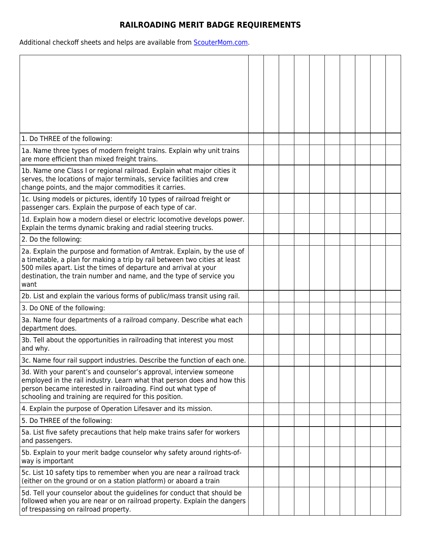## **RAILROADING MERIT BADGE REQUIREMENTS**

Additional checkoff sheets and helps are available from **ScouterMom.com**.

| 1. Do THREE of the following:                                                                                                                                                                                                                                                                           |  |  |  |  |  |
|---------------------------------------------------------------------------------------------------------------------------------------------------------------------------------------------------------------------------------------------------------------------------------------------------------|--|--|--|--|--|
| 1a. Name three types of modern freight trains. Explain why unit trains                                                                                                                                                                                                                                  |  |  |  |  |  |
| are more efficient than mixed freight trains.                                                                                                                                                                                                                                                           |  |  |  |  |  |
| 1b. Name one Class I or regional railroad. Explain what major cities it<br>serves, the locations of major terminals, service facilities and crew<br>change points, and the major commodities it carries.                                                                                                |  |  |  |  |  |
| 1c. Using models or pictures, identify 10 types of railroad freight or<br>passenger cars. Explain the purpose of each type of car.                                                                                                                                                                      |  |  |  |  |  |
| 1d. Explain how a modern diesel or electric locomotive develops power.<br>Explain the terms dynamic braking and radial steering trucks.                                                                                                                                                                 |  |  |  |  |  |
| 2. Do the following:                                                                                                                                                                                                                                                                                    |  |  |  |  |  |
| 2a. Explain the purpose and formation of Amtrak. Explain, by the use of<br>a timetable, a plan for making a trip by rail between two cities at least<br>500 miles apart. List the times of departure and arrival at your<br>destination, the train number and name, and the type of service you<br>want |  |  |  |  |  |
| 2b. List and explain the various forms of public/mass transit using rail.                                                                                                                                                                                                                               |  |  |  |  |  |
| 3. Do ONE of the following:                                                                                                                                                                                                                                                                             |  |  |  |  |  |
| 3a. Name four departments of a railroad company. Describe what each<br>department does.                                                                                                                                                                                                                 |  |  |  |  |  |
| 3b. Tell about the opportunities in railroading that interest you most<br>and why.                                                                                                                                                                                                                      |  |  |  |  |  |
| 3c. Name four rail support industries. Describe the function of each one.                                                                                                                                                                                                                               |  |  |  |  |  |
| 3d. With your parent's and counselor's approval, interview someone<br>employed in the rail industry. Learn what that person does and how this<br>person became interested in railroading. Find out what type of<br>schooling and training are required for this position.                               |  |  |  |  |  |
| 4. Explain the purpose of Operation Lifesaver and its mission.                                                                                                                                                                                                                                          |  |  |  |  |  |
| 5. Do THREE of the following:                                                                                                                                                                                                                                                                           |  |  |  |  |  |
| 5a. List five safety precautions that help make trains safer for workers<br>and passengers.                                                                                                                                                                                                             |  |  |  |  |  |
| 5b. Explain to your merit badge counselor why safety around rights-of-<br>way is important                                                                                                                                                                                                              |  |  |  |  |  |
| 5c. List 10 safety tips to remember when you are near a railroad track<br>(either on the ground or on a station platform) or aboard a train                                                                                                                                                             |  |  |  |  |  |
| 5d. Tell your counselor about the guidelines for conduct that should be<br>followed when you are near or on railroad property. Explain the dangers<br>of trespassing on railroad property.                                                                                                              |  |  |  |  |  |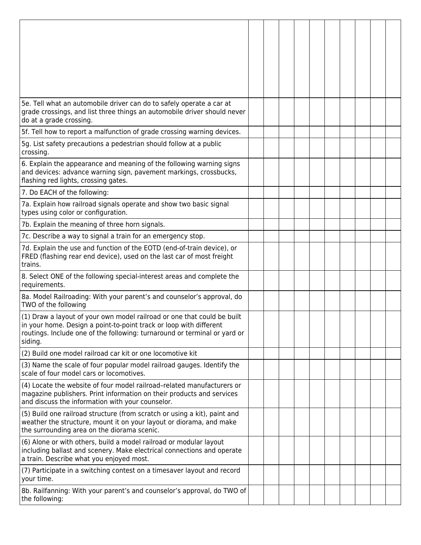| 5e. Tell what an automobile driver can do to safely operate a car at<br>grade crossings, and list three things an automobile driver should never<br>do at a grade crossing.                                                           |  |  |  |  |  |
|---------------------------------------------------------------------------------------------------------------------------------------------------------------------------------------------------------------------------------------|--|--|--|--|--|
| 5f. Tell how to report a malfunction of grade crossing warning devices.                                                                                                                                                               |  |  |  |  |  |
| 5g. List safety precautions a pedestrian should follow at a public<br>crossing.                                                                                                                                                       |  |  |  |  |  |
| 6. Explain the appearance and meaning of the following warning signs<br>and devices: advance warning sign, pavement markings, crossbucks,<br>flashing red lights, crossing gates.                                                     |  |  |  |  |  |
| 7. Do EACH of the following:                                                                                                                                                                                                          |  |  |  |  |  |
| 7a. Explain how railroad signals operate and show two basic signal<br>types using color or configuration.                                                                                                                             |  |  |  |  |  |
| 7b. Explain the meaning of three horn signals.                                                                                                                                                                                        |  |  |  |  |  |
| 7c. Describe a way to signal a train for an emergency stop.                                                                                                                                                                           |  |  |  |  |  |
| 7d. Explain the use and function of the EOTD (end-of-train device), or<br>FRED (flashing rear end device), used on the last car of most freight<br>trains.                                                                            |  |  |  |  |  |
| 8. Select ONE of the following special-interest areas and complete the<br>requirements.                                                                                                                                               |  |  |  |  |  |
| 8a. Model Railroading: With your parent's and counselor's approval, do<br>TWO of the following                                                                                                                                        |  |  |  |  |  |
| (1) Draw a layout of your own model railroad or one that could be built<br>in your home. Design a point-to-point track or loop with different<br>routings. Include one of the following: turnaround or terminal or yard or<br>siding. |  |  |  |  |  |
| (2) Build one model railroad car kit or one locomotive kit                                                                                                                                                                            |  |  |  |  |  |
| (3) Name the scale of four popular model railroad gauges. Identify the<br>scale of four model cars or locomotives.                                                                                                                    |  |  |  |  |  |
| (4) Locate the website of four model railroad-related manufacturers or<br>magazine publishers. Print information on their products and services<br>and discuss the information with your counselor.                                   |  |  |  |  |  |
| (5) Build one railroad structure (from scratch or using a kit), paint and<br>weather the structure, mount it on your layout or diorama, and make<br>the surrounding area on the diorama scenic.                                       |  |  |  |  |  |
| (6) Alone or with others, build a model railroad or modular layout<br>including ballast and scenery. Make electrical connections and operate<br>a train. Describe what you enjoyed most.                                              |  |  |  |  |  |
| (7) Participate in a switching contest on a timesaver layout and record<br>your time.                                                                                                                                                 |  |  |  |  |  |
| 8b. Railfanning: With your parent's and counselor's approval, do TWO of<br>the following:                                                                                                                                             |  |  |  |  |  |